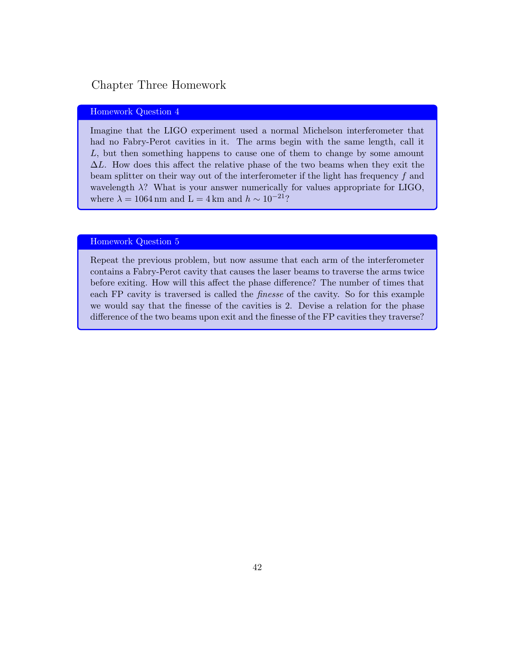## Chapter Three Homework

## Homework Question 4

Imagine that the LIGO experiment used a normal Michelson interferometer that had no Fabry-Perot cavities in it. The arms begin with the same length, call it *L*, but then something happens to cause one of them to change by some amount  $\Delta L$ . How does this affect the relative phase of the two beams when they exit the beam splitter on their way out of the interferometer if the light has frequency *f* and wavelength  $\lambda$ ? What is your answer numerically for values appropriate for LIGO, where  $\lambda = 1064 \text{ nm}$  and  $L = 4 \text{ km}$  and  $h \sim 10^{-21}$ ?

## Homework Question 5

Repeat the previous problem, but now assume that each arm of the interferometer contains a Fabry-Perot cavity that causes the laser beams to traverse the arms twice before exiting. How will this affect the phase difference? The number of times that each FP cavity is traversed is called the *finesse* of the cavity. So for this example we would say that the finesse of the cavities is 2. Devise a relation for the phase difference of the two beams upon exit and the finesse of the FP cavities they traverse?